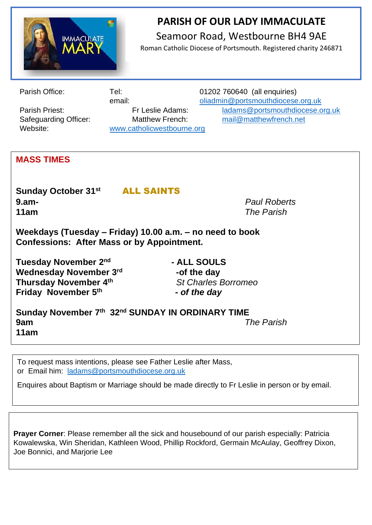

## **PARISH OF OUR LADY IMMACULATE**  Seamoor Road, Westbourne BH4 9AE

Roman Catholic Diocese of Portsmouth. Registered charity 246871

Website: [www.catholicwestbourne.org](about:blank)

Parish Office: Tel: Tel: 01202 760640 (all enquiries) email: [oliadmin@portsmouthdiocese.org.uk](about:blank) Parish Priest: Fr Leslie Adams: [ladams@portsmouthdiocese.org.uk](mailto:ladams@portsmouthdiocese.org.uk) Safeguarding Officer: Matthew French: [mail@matthewfrench.net](about:blank) 

## **MASS TIMES**

**Sunday October 31st** ALL SAINTS **9.am-** *Paul Roberts* **11am** *The Parish*

**Weekdays (Tuesday – Friday) 10.00 a.m. – no need to book Confessions: After Mass or by Appointment.**

Tuesday November 2<sup>nd</sup> **Wednesday November 3rd Thursday November 4th Friday November 5th**

 **- ALL SOULS -of the day** *St Charles Borromeo**- of the day*

**Sunday November 7th 32nd SUNDAY IN ORDINARY TIME 9am** *The Parish* **11am**

To request mass intentions, please see Father Leslie after Mass, or Email him: [ladams@portsmouthdiocese.org.uk](mailto:ladams@portsmouthdiocese.org.uk)

Enquires about Baptism or Marriage should be made directly to Fr Leslie in person or by email.

**Prayer Corner**: Please remember all the sick and housebound of our parish especially: Patricia Kowalewska, Win Sheridan, Kathleen Wood, Phillip Rockford, Germain McAulay, Geoffrey Dixon, Joe Bonnici, and Marjorie Lee